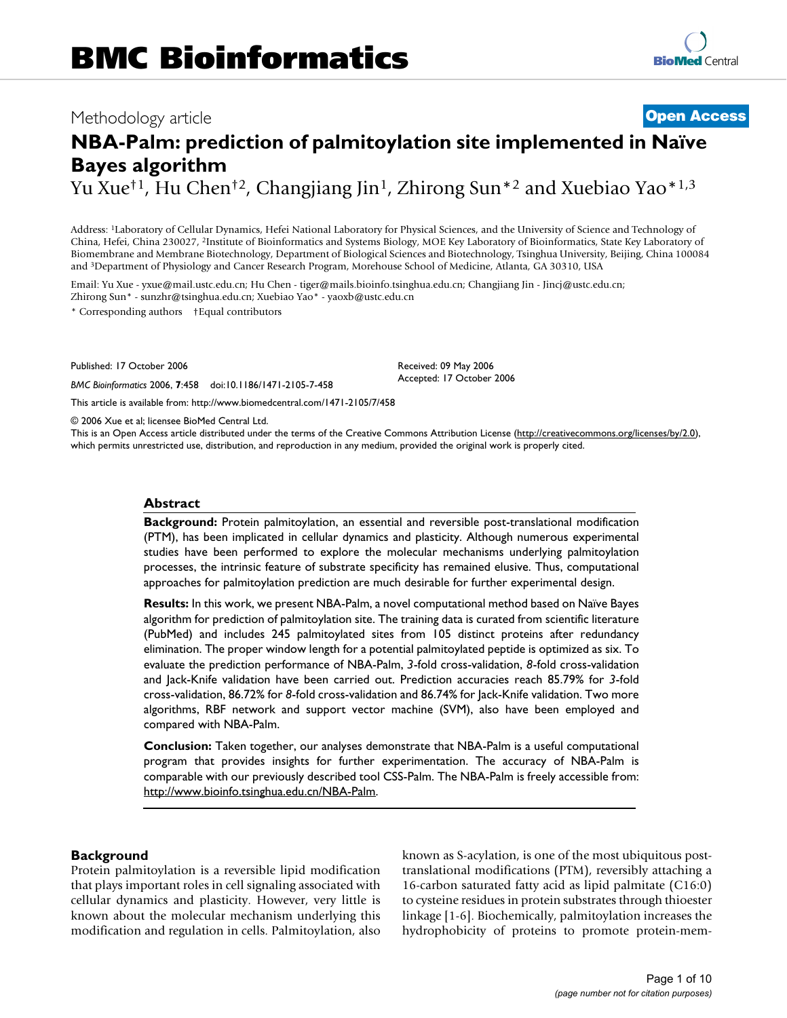## Methodology article **[Open Access](http://www.biomedcentral.com/info/about/charter/)**

# **NBA-Palm: prediction of palmitoylation site implemented in Naïve Bayes algorithm**

Yu Xue<sup>†1</sup>, Hu Chen<sup>†2</sup>, Changjiang Jin<sup>1</sup>, Zhirong Sun<sup>\*2</sup> and Xuebiao Yao<sup>\*1,3</sup>

Address: 1Laboratory of Cellular Dynamics, Hefei National Laboratory for Physical Sciences, and the University of Science and Technology of China, Hefei, China 230027, 2Institute of Bioinformatics and Systems Biology, MOE Key Laboratory of Bioinformatics, State Key Laboratory of Biomembrane and Membrane Biotechnology, Department of Biological Sciences and Biotechnology, Tsinghua University, Beijing, China 100084 and 3Department of Physiology and Cancer Research Program, Morehouse School of Medicine, Atlanta, GA 30310, USA

Email: Yu Xue - yxue@mail.ustc.edu.cn; Hu Chen - tiger@mails.bioinfo.tsinghua.edu.cn; Changjiang Jin - Jincj@ustc.edu.cn; Zhirong Sun\* - sunzhr@tsinghua.edu.cn; Xuebiao Yao\* - yaoxb@ustc.edu.cn

\* Corresponding authors †Equal contributors

Published: 17 October 2006

*BMC Bioinformatics* 2006, **7**:458 doi:10.1186/1471-2105-7-458

[This article is available from: http://www.biomedcentral.com/1471-2105/7/458](http://www.biomedcentral.com/1471-2105/7/458)

© 2006 Xue et al; licensee BioMed Central Ltd.

This is an Open Access article distributed under the terms of the Creative Commons Attribution License [\(http://creativecommons.org/licenses/by/2.0\)](http://creativecommons.org/licenses/by/2.0), which permits unrestricted use, distribution, and reproduction in any medium, provided the original work is properly cited.

Received: 09 May 2006 Accepted: 17 October 2006

## **Abstract**

**Background:** Protein palmitoylation, an essential and reversible post-translational modification (PTM), has been implicated in cellular dynamics and plasticity. Although numerous experimental studies have been performed to explore the molecular mechanisms underlying palmitoylation processes, the intrinsic feature of substrate specificity has remained elusive. Thus, computational approaches for palmitoylation prediction are much desirable for further experimental design.

**Results:** In this work, we present NBA-Palm, a novel computational method based on Naïve Bayes algorithm for prediction of palmitoylation site. The training data is curated from scientific literature (PubMed) and includes 245 palmitoylated sites from 105 distinct proteins after redundancy elimination. The proper window length for a potential palmitoylated peptide is optimized as six. To evaluate the prediction performance of NBA-Palm, *3*-fold cross-validation, *8*-fold cross-validation and Jack-Knife validation have been carried out. Prediction accuracies reach 85.79% for *3*-fold cross-validation, 86.72% for *8*-fold cross-validation and 86.74% for Jack-Knife validation. Two more algorithms, RBF network and support vector machine (SVM), also have been employed and compared with NBA-Palm.

**Conclusion:** Taken together, our analyses demonstrate that NBA-Palm is a useful computational program that provides insights for further experimentation. The accuracy of NBA-Palm is comparable with our previously described tool CSS-Palm. The NBA-Palm is freely accessible from: <http://www.bioinfo.tsinghua.edu.cn/NBA-Palm>.

## **Background**

Protein palmitoylation is a reversible lipid modification that plays important roles in cell signaling associated with cellular dynamics and plasticity. However, very little is known about the molecular mechanism underlying this modification and regulation in cells. Palmitoylation, also known as S-acylation, is one of the most ubiquitous posttranslational modifications (PTM), reversibly attaching a 16-carbon saturated fatty acid as lipid palmitate (C16:0) to cysteine residues in protein substrates through thioester linkage [1-6]. Biochemically, palmitoylation increases the hydrophobicity of proteins to promote protein-mem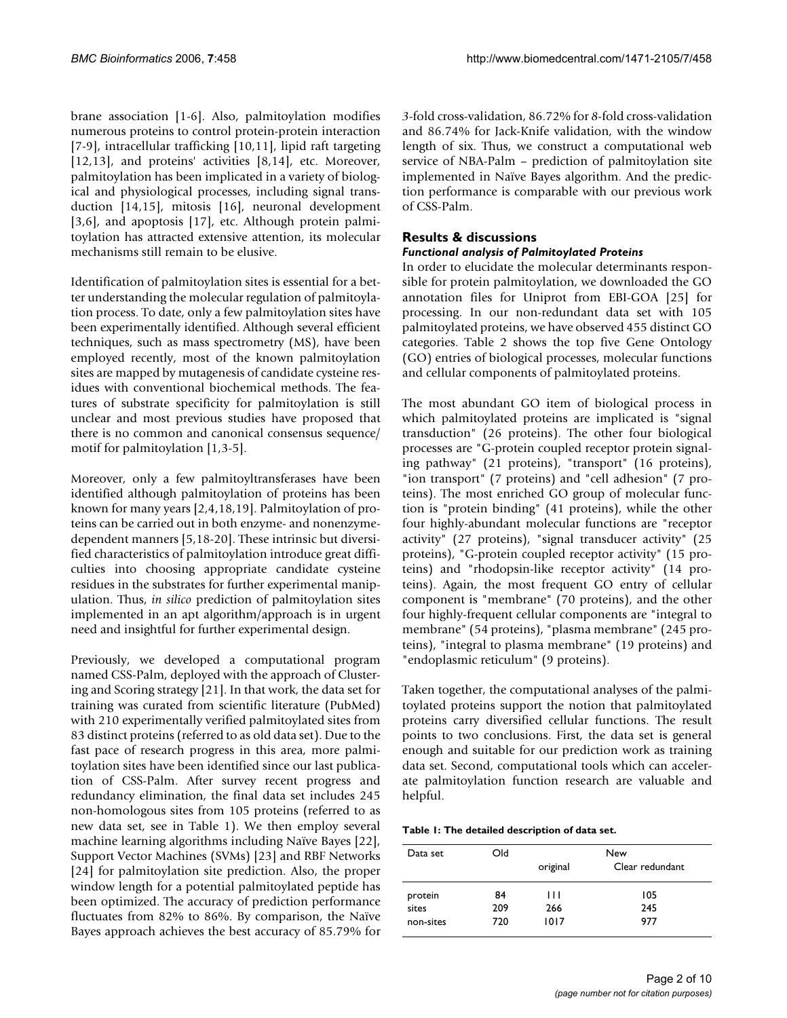brane association [1-6]. Also, palmitoylation modifies numerous proteins to control protein-protein interaction [7-9], intracellular trafficking [10,11], lipid raft targeting [12,13], and proteins' activities [8,14], etc. Moreover, palmitoylation has been implicated in a variety of biological and physiological processes, including signal transduction [14,15], mitosis [16], neuronal development [3,6], and apoptosis [17], etc. Although protein palmitoylation has attracted extensive attention, its molecular mechanisms still remain to be elusive.

Identification of palmitoylation sites is essential for a better understanding the molecular regulation of palmitoylation process. To date, only a few palmitoylation sites have been experimentally identified. Although several efficient techniques, such as mass spectrometry (MS), have been employed recently, most of the known palmitoylation sites are mapped by mutagenesis of candidate cysteine residues with conventional biochemical methods. The features of substrate specificity for palmitoylation is still unclear and most previous studies have proposed that there is no common and canonical consensus sequence/ motif for palmitoylation [1,3-5].

Moreover, only a few palmitoyltransferases have been identified although palmitoylation of proteins has been known for many years [2,4,18,19]. Palmitoylation of proteins can be carried out in both enzyme- and nonenzymedependent manners [5,18-20]. These intrinsic but diversified characteristics of palmitoylation introduce great difficulties into choosing appropriate candidate cysteine residues in the substrates for further experimental manipulation. Thus, *in silico* prediction of palmitoylation sites implemented in an apt algorithm/approach is in urgent need and insightful for further experimental design.

Previously, we developed a computational program named CSS-Palm, deployed with the approach of Clustering and Scoring strategy [21]. In that work, the data set for training was curated from scientific literature (PubMed) with 210 experimentally verified palmitoylated sites from 83 distinct proteins (referred to as old data set). Due to the fast pace of research progress in this area, more palmitoylation sites have been identified since our last publication of CSS-Palm. After survey recent progress and redundancy elimination, the final data set includes 245 non-homologous sites from 105 proteins (referred to as new data set, see in Table 1). We then employ several machine learning algorithms including Naïve Bayes [22], Support Vector Machines (SVMs) [23] and RBF Networks [24] for palmitoylation site prediction. Also, the proper window length for a potential palmitoylated peptide has been optimized. The accuracy of prediction performance fluctuates from 82% to 86%. By comparison, the Naïve Bayes approach achieves the best accuracy of 85.79% for *3*-fold cross-validation, 86.72% for *8*-fold cross-validation and 86.74% for Jack-Knife validation, with the window length of six. Thus, we construct a computational web service of NBA-Palm – prediction of palmitoylation site implemented in Naïve Bayes algorithm. And the prediction performance is comparable with our previous work of CSS-Palm.

## **Results & discussions**

## *Functional analysis of Palmitoylated Proteins*

In order to elucidate the molecular determinants responsible for protein palmitoylation, we downloaded the GO annotation files for Uniprot from EBI-GOA [25] for processing. In our non-redundant data set with 105 palmitoylated proteins, we have observed 455 distinct GO categories. Table 2 shows the top five Gene Ontology (GO) entries of biological processes, molecular functions and cellular components of palmitoylated proteins.

The most abundant GO item of biological process in which palmitoylated proteins are implicated is "signal transduction" (26 proteins). The other four biological processes are "G-protein coupled receptor protein signaling pathway" (21 proteins), "transport" (16 proteins), "ion transport" (7 proteins) and "cell adhesion" (7 proteins). The most enriched GO group of molecular function is "protein binding" (41 proteins), while the other four highly-abundant molecular functions are "receptor activity" (27 proteins), "signal transducer activity" (25 proteins), "G-protein coupled receptor activity" (15 proteins) and "rhodopsin-like receptor activity" (14 proteins). Again, the most frequent GO entry of cellular component is "membrane" (70 proteins), and the other four highly-frequent cellular components are "integral to membrane" (54 proteins), "plasma membrane" (245 proteins), "integral to plasma membrane" (19 proteins) and "endoplasmic reticulum" (9 proteins).

Taken together, the computational analyses of the palmitoylated proteins support the notion that palmitoylated proteins carry diversified cellular functions. The result points to two conclusions. First, the data set is general enough and suitable for our prediction work as training data set. Second, computational tools which can accelerate palmitoylation function research are valuable and helpful.

**Table 1: The detailed description of data set.**

| Data set  | Old | New      |                 |  |  |  |
|-----------|-----|----------|-----------------|--|--|--|
|           |     | original | Clear redundant |  |  |  |
| protein   | 84  | Ш        | 105             |  |  |  |
| sites     | 209 | 266      | 245             |  |  |  |
| non-sites | 720 | 1017     | 977             |  |  |  |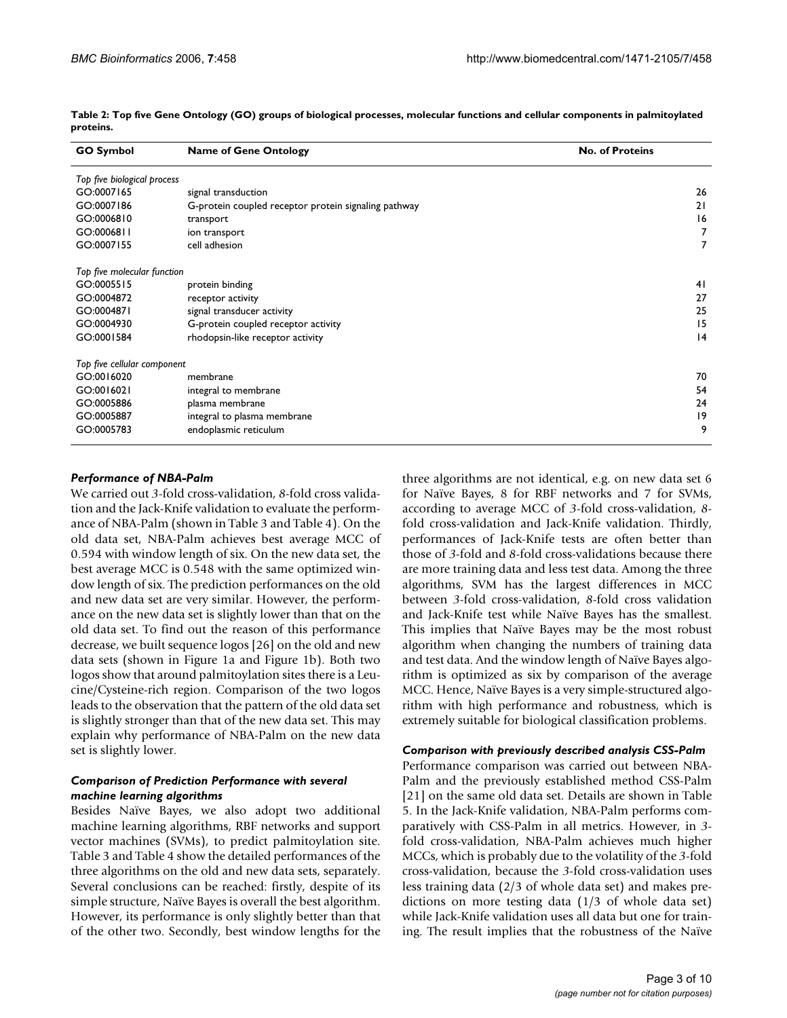| <b>GO Symbol</b>            | <b>Name of Gene Ontology</b>                         | <b>No. of Proteins</b> |
|-----------------------------|------------------------------------------------------|------------------------|
| Top five biological process |                                                      |                        |
| GO:0007165                  | signal transduction                                  | 26                     |
| GO:0007186                  | G-protein coupled receptor protein signaling pathway | 21                     |
| GO:0006810                  | transport                                            | 16                     |
| GO:0006811                  | ion transport                                        | 7                      |
| GO:0007155                  | cell adhesion                                        | 7                      |
| Top five molecular function |                                                      |                        |
| GO:0005515                  | protein binding                                      | 41                     |
| GO:0004872                  | receptor activity                                    | 27                     |
| GO:0004871                  | signal transducer activity                           | 25                     |
| GO:0004930                  | G-protein coupled receptor activity                  | 15                     |
| GO:0001584                  | rhodopsin-like receptor activity                     | 4                      |
| Top five cellular component |                                                      |                        |
| GO:0016020                  | membrane                                             | 70                     |
| GO:0016021                  | integral to membrane                                 | 54                     |
| GO:0005886                  | plasma membrane                                      | 24                     |
| GO:0005887                  | integral to plasma membrane                          | 9                      |
| GO:0005783                  | endoplasmic reticulum                                | 9                      |

**Table 2: Top five Gene Ontology (GO) groups of biological processes, molecular functions and cellular components in palmitoylated proteins.**

#### *Performance of NBA-Palm*

We carried out *3*-fold cross-validation, *8*-fold cross validation and the Jack-Knife validation to evaluate the performance of NBA-Palm (shown in Table 3 and Table 4). On the old data set, NBA-Palm achieves best average MCC of 0.594 with window length of six. On the new data set, the best average MCC is 0.548 with the same optimized window length of six. The prediction performances on the old and new data set are very similar. However, the performance on the new data set is slightly lower than that on the old data set. To find out the reason of this performance decrease, we built sequence logos [26] on the old and new data sets (shown in Figure 1a and Figure 1b). Both two logos show that around palmitoylation sites there is a Leucine/Cysteine-rich region. Comparison of the two logos leads to the observation that the pattern of the old data set is slightly stronger than that of the new data set. This may explain why performance of NBA-Palm on the new data set is slightly lower.

## *Comparison of Prediction Performance with several machine learning algorithms*

Besides Naïve Bayes, we also adopt two additional machine learning algorithms, RBF networks and support vector machines (SVMs), to predict palmitoylation site. Table 3 and Table 4 show the detailed performances of the three algorithms on the old and new data sets, separately. Several conclusions can be reached: firstly, despite of its simple structure, Naïve Bayes is overall the best algorithm. However, its performance is only slightly better than that of the other two. Secondly, best window lengths for the three algorithms are not identical, e.g. on new data set 6 for Naïve Bayes, 8 for RBF networks and 7 for SVMs, according to average MCC of *3*-fold cross-validation, *8* fold cross-validation and Jack-Knife validation. Thirdly, performances of Jack-Knife tests are often better than those of *3*-fold and *8*-fold cross-validations because there are more training data and less test data. Among the three algorithms, SVM has the largest differences in MCC between *3*-fold cross-validation, *8*-fold cross validation and Jack-Knife test while Naïve Bayes has the smallest. This implies that Naïve Bayes may be the most robust algorithm when changing the numbers of training data and test data. And the window length of Naïve Bayes algorithm is optimized as six by comparison of the average MCC. Hence, Naïve Bayes is a very simple-structured algorithm with high performance and robustness, which is extremely suitable for biological classification problems.

## *Comparison with previously described analysis CSS-Palm*

Performance comparison was carried out between NBA-Palm and the previously established method CSS-Palm [21] on the same old data set. Details are shown in Table 5. In the Jack-Knife validation, NBA-Palm performs comparatively with CSS-Palm in all metrics. However, in *3* fold cross-validation, NBA-Palm achieves much higher MCCs, which is probably due to the volatility of the *3*-fold cross-validation, because the *3*-fold cross-validation uses less training data (2/3 of whole data set) and makes predictions on more testing data (1/3 of whole data set) while Jack-Knife validation uses all data but one for training. The result implies that the robustness of the Naïve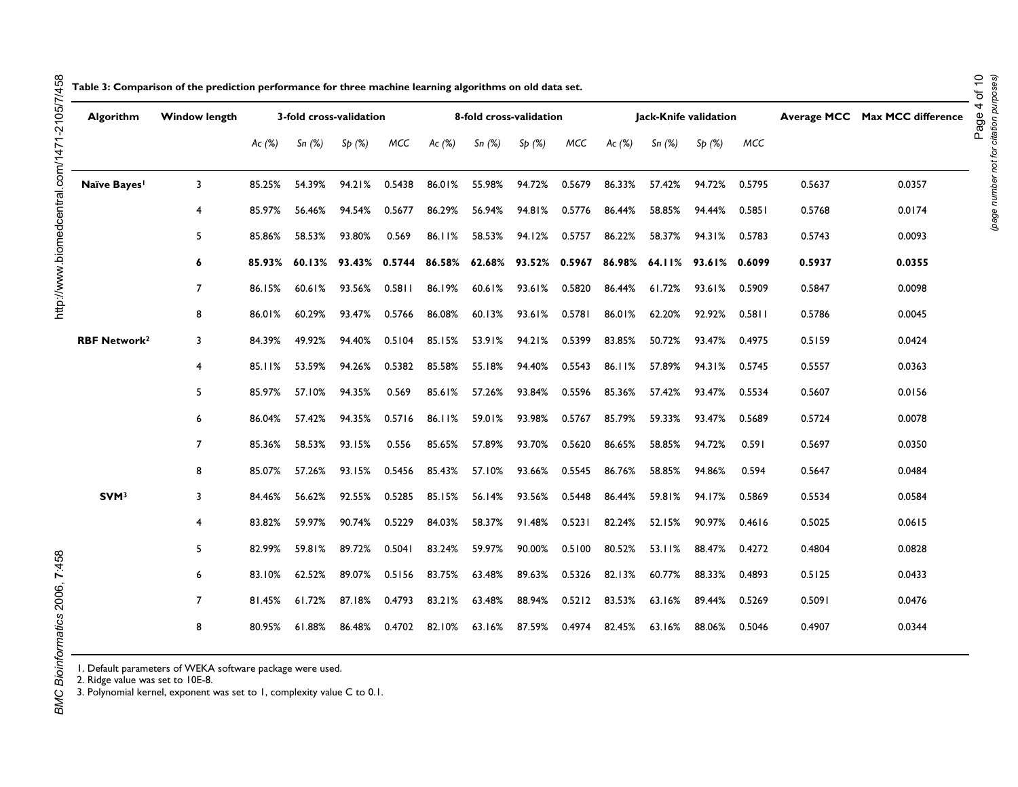| Algorithm                      | <b>Window length</b><br>3 | 3-fold cross-validation |        |               | 8-fold cross-validation |          |        | Jack-Knife validation |        |               |        |                      | Average MCC Max MCC difference |        |        |
|--------------------------------|---------------------------|-------------------------|--------|---------------|-------------------------|----------|--------|-----------------------|--------|---------------|--------|----------------------|--------------------------------|--------|--------|
|                                |                           | Ac $(%)$                | Sn(%)  | Sp(%)         | MCC                     | Ac $(%)$ | Sn(%)  | Sp(%)                 | MCC    | Ac $(%)$      | Sn(%)  | Sp(%)                | MCC                            |        |        |
| Naïve Bayes <sup>1</sup>       |                           | 85.25%                  | 54.39% | 94.21%        | 0.5438                  | 86.01%   | 55.98% | 94.72%                | 0.5679 | 86.33%        | 57.42% | 94.72%               | 0.5795                         | 0.5637 | 0.0357 |
|                                | $\overline{4}$            | 85.97%                  | 56.46% | 94.54%        | 0.5677                  | 86.29%   | 56.94% | 94.81%                | 0.5776 | 86.44%        | 58.85% | 94.44%               | 0.5851                         | 0.5768 | 0.0174 |
|                                | 5                         | 85.86%                  | 58.53% | 93.80%        | 0.569                   | 86.11%   | 58.53% | 94.12%                | 0.5757 | 86.22%        | 58.37% | 94.31%               | 0.5783                         | 0.5743 | 0.0093 |
|                                | 6                         | 85.93%                  |        | 60.13% 93.43% | 0.5744                  | 86.58%   |        | 62.68% 93.52%         |        | 0.5967 86.98% |        | 64.11% 93.61% 0.6099 |                                | 0.5937 | 0.0355 |
|                                | 7                         | 86.15%                  | 60.61% | 93.56%        | 0.5811                  | 86.19%   | 60.61% | 93.61%                | 0.5820 | 86.44%        | 61.72% | 93.61%               | 0.5909                         | 0.5847 | 0.0098 |
|                                | 8                         | 86.01%                  | 60.29% | 93.47%        | 0.5766                  | 86.08%   | 60.13% | 93.61%                | 0.5781 | 86.01%        | 62.20% | 92.92%               | 0.5811                         | 0.5786 | 0.0045 |
| <b>RBF Network<sup>2</sup></b> | 3                         | 84.39%                  | 49.92% | 94.40%        | 0.5104                  | 85.15%   | 53.91% | 94.21%                | 0.5399 | 83.85%        | 50.72% | 93.47%               | 0.4975                         | 0.5159 | 0.0424 |
|                                | 4                         | 85.11%                  | 53.59% | 94.26%        | 0.5382                  | 85.58%   | 55.18% | 94.40%                | 0.5543 | 86.11%        | 57.89% | 94.31%               | 0.5745                         | 0.5557 | 0.0363 |
|                                | 5                         | 85.97%                  | 57.10% | 94.35%        | 0.569                   | 85.61%   | 57.26% | 93.84%                | 0.5596 | 85.36%        | 57.42% | 93.47%               | 0.5534                         | 0.5607 | 0.0156 |
|                                | 6                         | 86.04%                  | 57.42% | 94.35%        | 0.5716                  | 86.11%   | 59.01% | 93.98%                | 0.5767 | 85.79%        | 59.33% | 93.47%               | 0.5689                         | 0.5724 | 0.0078 |
|                                | $\overline{7}$            | 85.36%                  | 58.53% | 93.15%        | 0.556                   | 85.65%   | 57.89% | 93.70%                | 0.5620 | 86.65%        | 58.85% | 94.72%               | 0.591                          | 0.5697 | 0.0350 |
|                                | 8                         | 85.07%                  | 57.26% | 93.15%        | 0.5456                  | 85.43%   | 57.10% | 93.66%                | 0.5545 | 86.76%        | 58.85% | 94.86%               | 0.594                          | 0.5647 | 0.0484 |
| SVM <sup>3</sup>               | 3                         | 84.46%                  | 56.62% | 92.55%        | 0.5285                  | 85.15%   | 56.14% | 93.56%                | 0.5448 | 86.44%        | 59.81% | 94.17%               | 0.5869                         | 0.5534 | 0.0584 |
|                                | 4                         | 83.82%                  | 59.97% | 90.74%        | 0.5229                  | 84.03%   | 58.37% | 91.48%                | 0.5231 | 82.24%        | 52.15% | 90.97%               | 0.4616                         | 0.5025 | 0.0615 |
|                                | 5                         | 82.99%                  | 59.81% | 89.72%        | 0.5041                  | 83.24%   | 59.97% | 90.00%                | 0.5100 | 80.52%        | 53.11% | 88.47%               | 0.4272                         | 0.4804 | 0.0828 |
|                                | 6                         | 83.10%                  | 62.52% | 89.07%        | 0.5156                  | 83.75%   | 63.48% | 89.63%                | 0.5326 | 82.13%        | 60.77% | 88.33%               | 0.4893                         | 0.5125 | 0.0433 |
|                                | $\overline{7}$            | 81.45%                  | 61.72% | 87.18%        | 0.4793                  | 83.21%   | 63.48% | 88.94%                | 0.5212 | 83.53%        | 63.16% | 89.44%               | 0.5269                         | 0.5091 | 0.0476 |
|                                | 8                         | 80.95%                  | 61.88% | 86.48%        | 0.4702                  | 82.10%   | 63.16% | 87.59%                | 0.4974 | 82.45%        | 63.16% | 88.06%               | 0.5046                         | 0.4907 | 0.0344 |

1. Default parameters of WEKA software package were used.

2. Ridge value was set to 10E-8.

3. Polynomial kernel, exponent was set to 1, complexity value C to 0.1.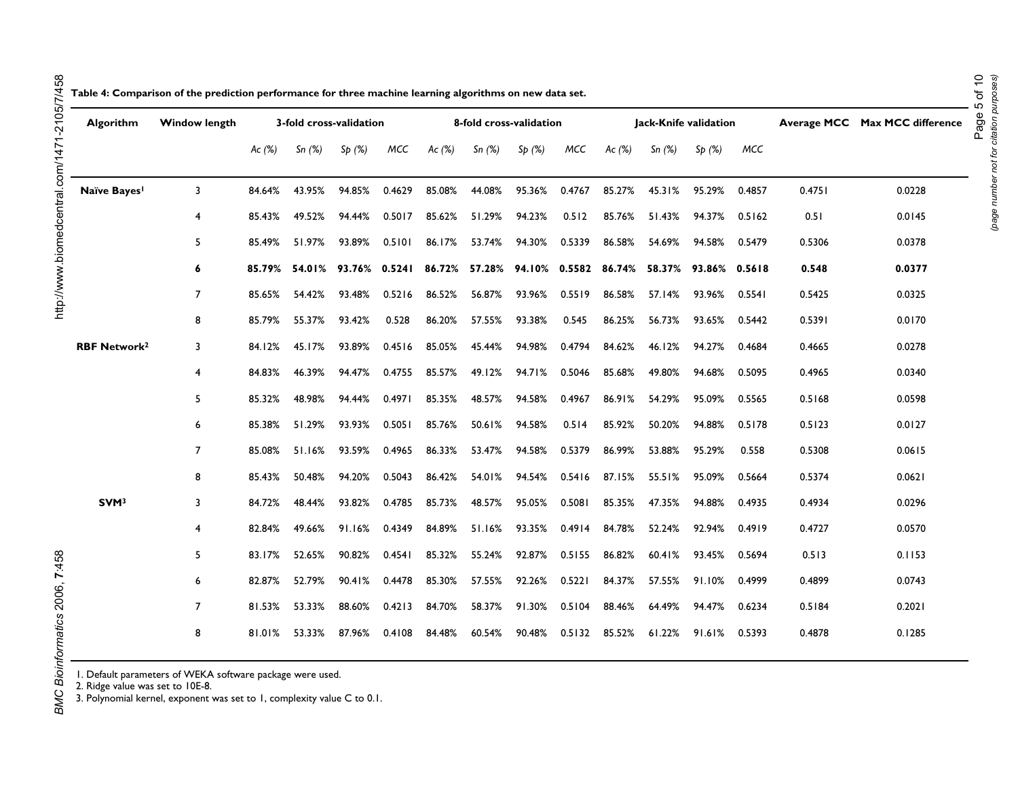| <b>Algorithm</b>               | <b>Window length</b> | 3-fold cross-validation |                      |        | 8-fold cross-validation |          |               | Jack-Knife validation |        |          |        |                      | Average MCC Max MCC difference |        |        |  |
|--------------------------------|----------------------|-------------------------|----------------------|--------|-------------------------|----------|---------------|-----------------------|--------|----------|--------|----------------------|--------------------------------|--------|--------|--|
|                                |                      | Ac $(%)$                | Sn(%)                | Sp(%)  | MCC                     | Ac $(%)$ | Sn(%)         | Sp(%)                 | MCC    | Ac $(%)$ | Sn(%)  | Sp(%)                | MCC                            |        |        |  |
| Naïve Bayes <sup>1</sup>       | $\overline{3}$       | 84.64%                  | 43.95%               | 94.85% | 0.4629                  | 85.08%   | 44.08%        | 95.36%                | 0.4767 | 85.27%   | 45.31% | 95.29%               | 0.4857                         | 0.4751 | 0.0228 |  |
|                                | 4                    | 85.43%                  | 49.52%               | 94.44% | 0.5017                  | 85.62%   | 51.29%        | 94.23%                | 0.512  | 85.76%   | 51.43% | 94.37%               | 0.5162                         | 0.51   | 0.0145 |  |
|                                | 5                    | 85.49%                  | 51.97%               | 93.89% | 0.5101                  | 86.17%   | 53.74%        | 94.30%                | 0.5339 | 86.58%   | 54.69% | 94.58%               | 0.5479                         | 0.5306 | 0.0378 |  |
|                                | 6                    |                         | 85.79% 54.01% 93.76% |        | 0.5241                  | 86.72%   | 57.28% 94.10% |                       | 0.5582 | 86.74%   |        | 58.37% 93.86% 0.5618 |                                | 0.548  | 0.0377 |  |
|                                | 7                    | 85.65%                  | 54.42%               | 93.48% | 0.5216                  | 86.52%   | 56.87%        | 93.96%                | 0.5519 | 86.58%   | 57.I4% | 93.96%               | 0.5541                         | 0.5425 | 0.0325 |  |
|                                | 8                    | 85.79%                  | 55.37%               | 93.42% | 0.528                   | 86.20%   | 57.55%        | 93.38%                | 0.545  | 86.25%   | 56.73% | 93.65%               | 0.5442                         | 0.5391 | 0.0170 |  |
| <b>RBF Network<sup>2</sup></b> | 3                    | 84.12%                  | 45.I7%               | 93.89% | 0.4516                  | 85.05%   | 45.44%        | 94.98%                | 0.4794 | 84.62%   | 46.12% | 94.27%               | 0.4684                         | 0.4665 | 0.0278 |  |
|                                | 4                    | 84.83%                  | 46.39%               | 94.47% | 0.4755                  | 85.57%   | 49.12%        | 94.71%                | 0.5046 | 85.68%   | 49.80% | 94.68%               | 0.5095                         | 0.4965 | 0.0340 |  |
|                                | 5                    | 85.32%                  | 48.98%               | 94.44% | 0.4971                  | 85.35%   | 48.57%        | 94.58%                | 0.4967 | 86.91%   | 54.29% | 95.09%               | 0.5565                         | 0.5168 | 0.0598 |  |
|                                | 6                    | 85.38%                  | 51.29%               | 93.93% | 0.5051                  | 85.76%   | 50.61%        | 94.58%                | 0.514  | 85.92%   | 50.20% | 94.88%               | 0.5178                         | 0.5123 | 0.0127 |  |
|                                | 7                    | 85.08%                  | 51.16%               | 93.59% | 0.4965                  | 86.33%   | 53.47%        | 94.58%                | 0.5379 | 86.99%   | 53.88% | 95.29%               | 0.558                          | 0.5308 | 0.0615 |  |
|                                | 8                    | 85.43%                  | 50.48%               | 94.20% | 0.5043                  | 86.42%   | 54.01%        | 94.54%                | 0.5416 | 87.15%   | 55.51% | 95.09%               | 0.5664                         | 0.5374 | 0.0621 |  |
| SVM <sup>3</sup>               | 3                    | 84.72%                  | 48.44%               | 93.82% | 0.4785                  | 85.73%   | 48.57%        | 95.05%                | 0.5081 | 85.35%   | 47.35% | 94.88%               | 0.4935                         | 0.4934 | 0.0296 |  |
|                                | 4                    | 82.84%                  | 49.66%               | 91.16% | 0.4349                  | 84.89%   | 51.16%        | 93.35%                | 0.4914 | 84.78%   | 52.24% | 92.94%               | 0.4919                         | 0.4727 | 0.0570 |  |
|                                | 5                    | 83.17%                  | 52.65%               | 90.82% | 0.4541                  | 85.32%   | 55.24%        | 92.87%                | 0.5155 | 86.82%   | 60.41% | 93.45%               | 0.5694                         | 0.513  | 0.1153 |  |
|                                | 6                    | 82.87%                  | 52.79%               | 90.41% | 0.4478                  | 85.30%   | 57.55%        | 92.26%                | 0.5221 | 84.37%   | 57.55% | 91.10%               | 0.4999                         | 0.4899 | 0.0743 |  |
|                                | 7                    | 81.53%                  | 53.33%               | 88.60% | 0.4213                  | 84.70%   | 58.37%        | 91.30%                | 0.5104 | 88.46%   | 64.49% | 94.47%               | 0.6234                         | 0.5184 | 0.2021 |  |
|                                | 8                    | 81.01%                  | 53.33%               | 87.96% | 0.4108                  | 84.48%   | 60.54%        | 90.48%                | 0.5132 | 85.52%   | 61.22% | 91.61%               | 0.5393                         | 0.4878 | 0.1285 |  |

1. Default parameters of WEKA software package were used.

2. Ridge value was set to 10E-8.

BMC Bioinformatics 2006, 7:458

<sup>3.</sup> Polynomial kernel, exponent was set to 1, complexity value C to 0.1.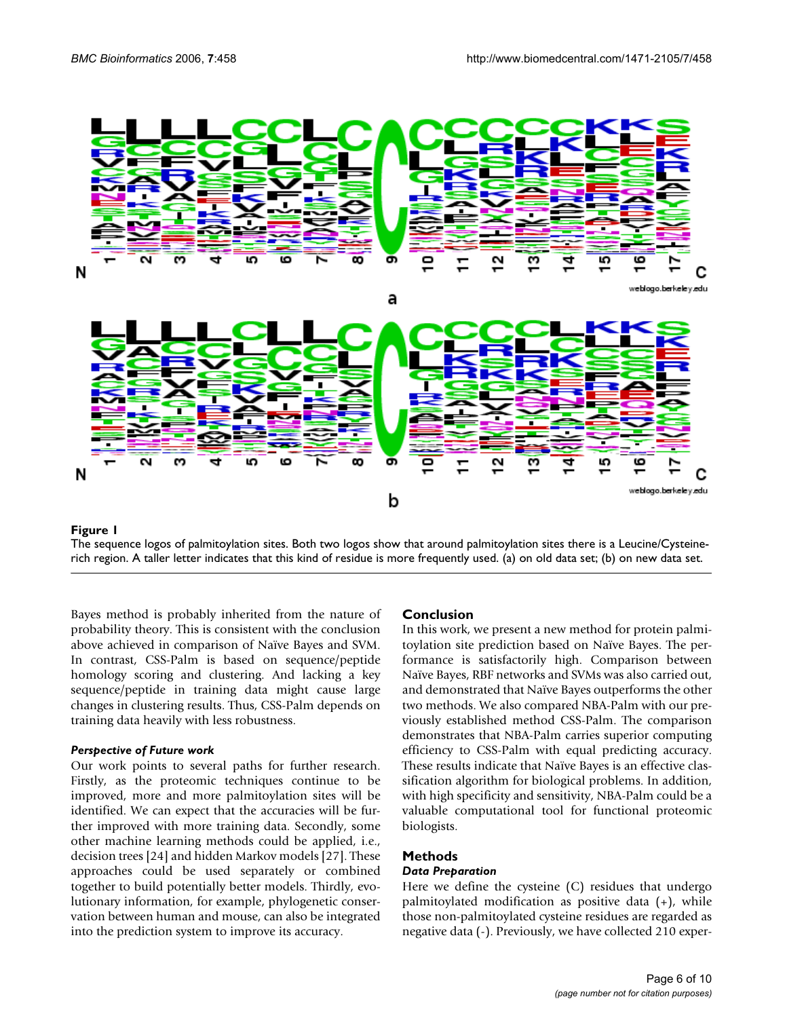

## Figure 1

The sequence logos of palmitoylation sites. Both two logos show that around palmitoylation sites there is a Leucine/Cysteinerich region. A taller letter indicates that this kind of residue is more frequently used. (a) on old data set; (b) on new data set.

Bayes method is probably inherited from the nature of probability theory. This is consistent with the conclusion above achieved in comparison of Naïve Bayes and SVM. In contrast, CSS-Palm is based on sequence/peptide homology scoring and clustering. And lacking a key sequence/peptide in training data might cause large changes in clustering results. Thus, CSS-Palm depends on training data heavily with less robustness.

#### *Perspective of Future work*

Our work points to several paths for further research. Firstly, as the proteomic techniques continue to be improved, more and more palmitoylation sites will be identified. We can expect that the accuracies will be further improved with more training data. Secondly, some other machine learning methods could be applied, i.e., decision trees [24] and hidden Markov models [27]. These approaches could be used separately or combined together to build potentially better models. Thirdly, evolutionary information, for example, phylogenetic conservation between human and mouse, can also be integrated into the prediction system to improve its accuracy.

## **Conclusion**

In this work, we present a new method for protein palmitoylation site prediction based on Naïve Bayes. The performance is satisfactorily high. Comparison between Naïve Bayes, RBF networks and SVMs was also carried out, and demonstrated that Naïve Bayes outperforms the other two methods. We also compared NBA-Palm with our previously established method CSS-Palm. The comparison demonstrates that NBA-Palm carries superior computing efficiency to CSS-Palm with equal predicting accuracy. These results indicate that Naïve Bayes is an effective classification algorithm for biological problems. In addition, with high specificity and sensitivity, NBA-Palm could be a valuable computational tool for functional proteomic biologists.

## **Methods**

#### *Data Preparation*

Here we define the cysteine (C) residues that undergo palmitoylated modification as positive data (+), while those non-palmitoylated cysteine residues are regarded as negative data (-). Previously, we have collected 210 exper-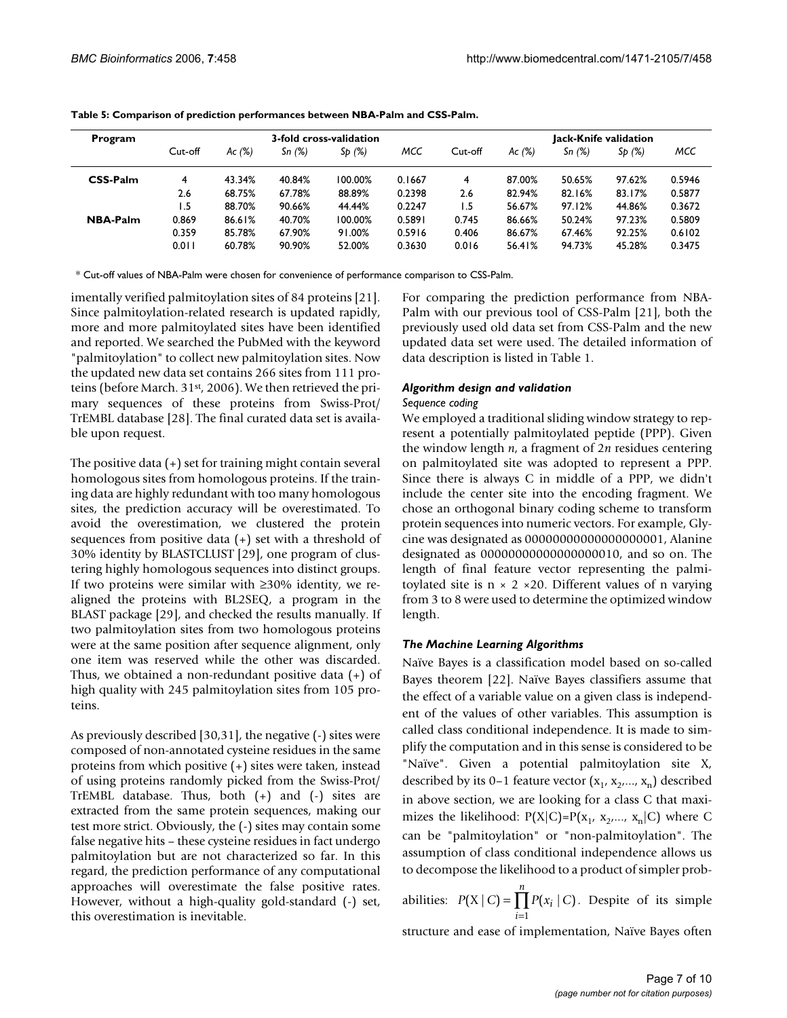| Program         |         |          | 3-fold cross-validation | Jack-Knife validation |        |         |          |        |        |        |
|-----------------|---------|----------|-------------------------|-----------------------|--------|---------|----------|--------|--------|--------|
|                 | Cut-off | Ac $(%)$ | Sn(%)                   | Sp(%)                 | MCC    | Cut-off | Ac $(%)$ | Sn(%)  | Sp(%)  | MCC    |
| CSS-Palm        | 4       | 43.34%   | 40.84%                  | 100.00%               | 0.1667 | 4       | 87.00%   | 50.65% | 97.62% | 0.5946 |
|                 | 2.6     | 68.75%   | 67.78%                  | 88.89%                | 0.2398 | 2.6     | 82.94%   | 82.16% | 83.17% | 0.5877 |
|                 | 1.5     | 88.70%   | 90.66%                  | 44.44%                | 0.2247 | 1.5     | 56.67%   | 97.12% | 44.86% | 0.3672 |
| <b>NBA-Palm</b> | 0.869   | 86.61%   | 40.70%                  | 100.00%               | 0.5891 | 0.745   | 86.66%   | 50.24% | 97.23% | 0.5809 |
|                 | 0.359   | 85.78%   | 67.90%                  | 91.00%                | 0.5916 | 0.406   | 86.67%   | 67.46% | 92.25% | 0.6102 |
|                 | 0.011   | 60.78%   | 90.90%                  | 52.00%                | 0.3630 | 0.016   | 56.41%   | 94.73% | 45.28% | 0.3475 |

**Table 5: Comparison of prediction performances between NBA-Palm and CSS-Palm.**

\* Cut-off values of NBA-Palm were chosen for convenience of performance comparison to CSS-Palm.

imentally verified palmitoylation sites of 84 proteins [21]. Since palmitoylation-related research is updated rapidly, more and more palmitoylated sites have been identified and reported. We searched the PubMed with the keyword "palmitoylation" to collect new palmitoylation sites. Now the updated new data set contains 266 sites from 111 proteins (before March. 31st, 2006). We then retrieved the primary sequences of these proteins from Swiss-Prot/ TrEMBL database [28]. The final curated data set is available upon request.

The positive data (+) set for training might contain several homologous sites from homologous proteins. If the training data are highly redundant with too many homologous sites, the prediction accuracy will be overestimated. To avoid the overestimation, we clustered the protein sequences from positive data (+) set with a threshold of 30% identity by BLASTCLUST [29], one program of clustering highly homologous sequences into distinct groups. If two proteins were similar with ≥30% identity, we realigned the proteins with BL2SEQ, a program in the BLAST package [29], and checked the results manually. If two palmitoylation sites from two homologous proteins were at the same position after sequence alignment, only one item was reserved while the other was discarded. Thus, we obtained a non-redundant positive data (+) of high quality with 245 palmitoylation sites from 105 proteins.

As previously described [30,31], the negative (-) sites were composed of non-annotated cysteine residues in the same proteins from which positive (+) sites were taken, instead of using proteins randomly picked from the Swiss-Prot/ TrEMBL database. Thus, both (+) and (-) sites are extracted from the same protein sequences, making our test more strict. Obviously, the (-) sites may contain some false negative hits – these cysteine residues in fact undergo palmitoylation but are not characterized so far. In this regard, the prediction performance of any computational approaches will overestimate the false positive rates. However, without a high-quality gold-standard (-) set, this overestimation is inevitable.

For comparing the prediction performance from NBA-Palm with our previous tool of CSS-Palm [21], both the previously used old data set from CSS-Palm and the new updated data set were used. The detailed information of data description is listed in Table 1.

## *Algorithm design and validation*

## *Sequence coding*

We employed a traditional sliding window strategy to represent a potentially palmitoylated peptide (PPP). Given the window length *n*, a fragment of 2*n* residues centering on palmitoylated site was adopted to represent a PPP. Since there is always C in middle of a PPP, we didn't include the center site into the encoding fragment. We chose an orthogonal binary coding scheme to transform protein sequences into numeric vectors. For example, Glycine was designated as 00000000000000000001, Alanine designated as 00000000000000000010, and so on. The length of final feature vector representing the palmitoylated site is  $n \times 2 \times 20$ . Different values of n varying from 3 to 8 were used to determine the optimized window length.

## *The Machine Learning Algorithms*

Naïve Bayes is a classification model based on so-called Bayes theorem [22]. Naïve Bayes classifiers assume that the effect of a variable value on a given class is independent of the values of other variables. This assumption is called class conditional independence. It is made to simplify the computation and in this sense is considered to be "Naïve". Given a potential palmitoylation site X, described by its 0-1 feature vector  $(x_1, x_2, ..., x_n)$  described in above section, we are looking for a class C that maximizes the likelihood:  $P(X|C)=P(x_1, x_2,..., x_n|C)$  where C can be "palmitoylation" or "non-palmitoylation". The assumption of class conditional independence allows us to decompose the likelihood to a product of simpler prob-

abilities:  $P(X | C) = \prod P(x_i | C)$ . Despite of its simple *i n*  $P(X | C) = \prod P(x_i | C)$  $\prod\limits_{i=1}$ 1

structure and ease of implementation, Naïve Bayes often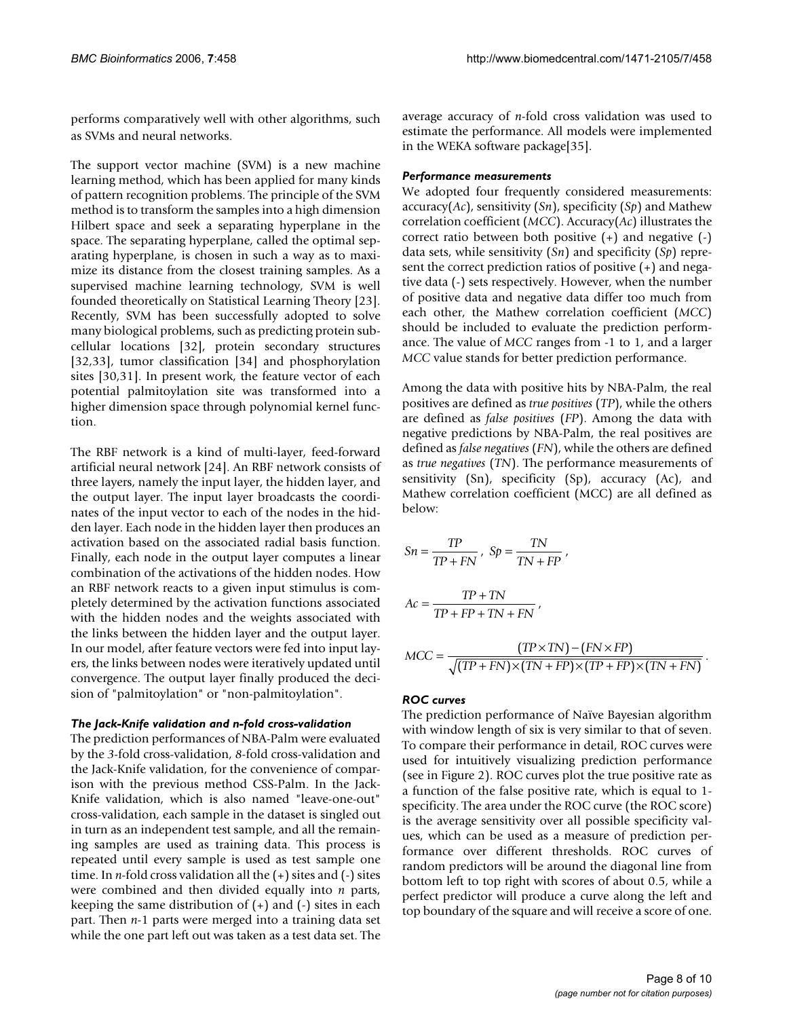performs comparatively well with other algorithms, such as SVMs and neural networks.

The support vector machine (SVM) is a new machine learning method, which has been applied for many kinds of pattern recognition problems. The principle of the SVM method is to transform the samples into a high dimension Hilbert space and seek a separating hyperplane in the space. The separating hyperplane, called the optimal separating hyperplane, is chosen in such a way as to maximize its distance from the closest training samples. As a supervised machine learning technology, SVM is well founded theoretically on Statistical Learning Theory [23]. Recently, SVM has been successfully adopted to solve many biological problems, such as predicting protein subcellular locations [32], protein secondary structures [32,33], tumor classification [34] and phosphorylation sites [30,31]. In present work, the feature vector of each potential palmitoylation site was transformed into a higher dimension space through polynomial kernel function.

The RBF network is a kind of multi-layer, feed-forward artificial neural network [24]. An RBF network consists of three layers, namely the input layer, the hidden layer, and the output layer. The input layer broadcasts the coordinates of the input vector to each of the nodes in the hidden layer. Each node in the hidden layer then produces an activation based on the associated radial basis function. Finally, each node in the output layer computes a linear combination of the activations of the hidden nodes. How an RBF network reacts to a given input stimulus is completely determined by the activation functions associated with the hidden nodes and the weights associated with the links between the hidden layer and the output layer. In our model, after feature vectors were fed into input layers, the links between nodes were iteratively updated until convergence. The output layer finally produced the decision of "palmitoylation" or "non-palmitoylation".

## *The Jack-Knife validation and n-fold cross-validation*

The prediction performances of NBA-Palm were evaluated by the *3*-fold cross-validation, *8*-fold cross-validation and the Jack-Knife validation, for the convenience of comparison with the previous method CSS-Palm. In the Jack-Knife validation, which is also named "leave-one-out" cross-validation, each sample in the dataset is singled out in turn as an independent test sample, and all the remaining samples are used as training data. This process is repeated until every sample is used as test sample one time. In *n*-fold cross validation all the (+) sites and (-) sites were combined and then divided equally into *n* parts, keeping the same distribution of  $(+)$  and  $(-)$  sites in each part. Then *n*-1 parts were merged into a training data set while the one part left out was taken as a test data set. The average accuracy of *n*-fold cross validation was used to estimate the performance. All models were implemented in the WEKA software package[35].

## *Performance measurements*

We adopted four frequently considered measurements: accuracy(*Ac*), sensitivity (*Sn*), specificity (*Sp*) and Mathew correlation coefficient (*MCC*). Accuracy(*Ac*) illustrates the correct ratio between both positive (+) and negative (-) data sets, while sensitivity (*Sn*) and specificity (*Sp*) represent the correct prediction ratios of positive (+) and negative data (-) sets respectively. However, when the number of positive data and negative data differ too much from each other, the Mathew correlation coefficient (*MCC*) should be included to evaluate the prediction performance. The value of *MCC* ranges from -1 to 1, and a larger *MCC* value stands for better prediction performance.

Among the data with positive hits by NBA-Palm, the real positives are defined as *true positives* (*TP*), while the others are defined as *false positives* (*FP*). Among the data with negative predictions by NBA-Palm, the real positives are defined as *false negatives* (*FN*), while the others are defined as *true negatives* (*TN*). The performance measurements of sensitivity (Sn), specificity (Sp), accuracy (Ac), and Mathew correlation coefficient (MCC) are all defined as below:

$$
Sn = \frac{TP}{TP + FN}, \quad Sp = \frac{TN}{TN + FP},
$$
\n
$$
Ac = \frac{TP + TN}{TP + FP + TN + FN},
$$
\n
$$
MCC = \frac{(TP \times TN) - (FN \times FP)}{\sqrt{(TP + FN) \times (TN + FP) \times (TP + FP) \times (TN + FN)}}
$$

 $(TP + FN) \times (TN + FP) \times (TP + FP) \times (TN + FN)$ 

## *ROC curves*

The prediction performance of Naïve Bayesian algorithm with window length of six is very similar to that of seven. To compare their performance in detail, ROC curves were used for intuitively visualizing prediction performance (see in Figure 2). ROC curves plot the true positive rate as a function of the false positive rate, which is equal to 1 specificity. The area under the ROC curve (the ROC score) is the average sensitivity over all possible specificity values, which can be used as a measure of prediction performance over different thresholds. ROC curves of random predictors will be around the diagonal line from bottom left to top right with scores of about 0.5, while a perfect predictor will produce a curve along the left and top boundary of the square and will receive a score of one.

.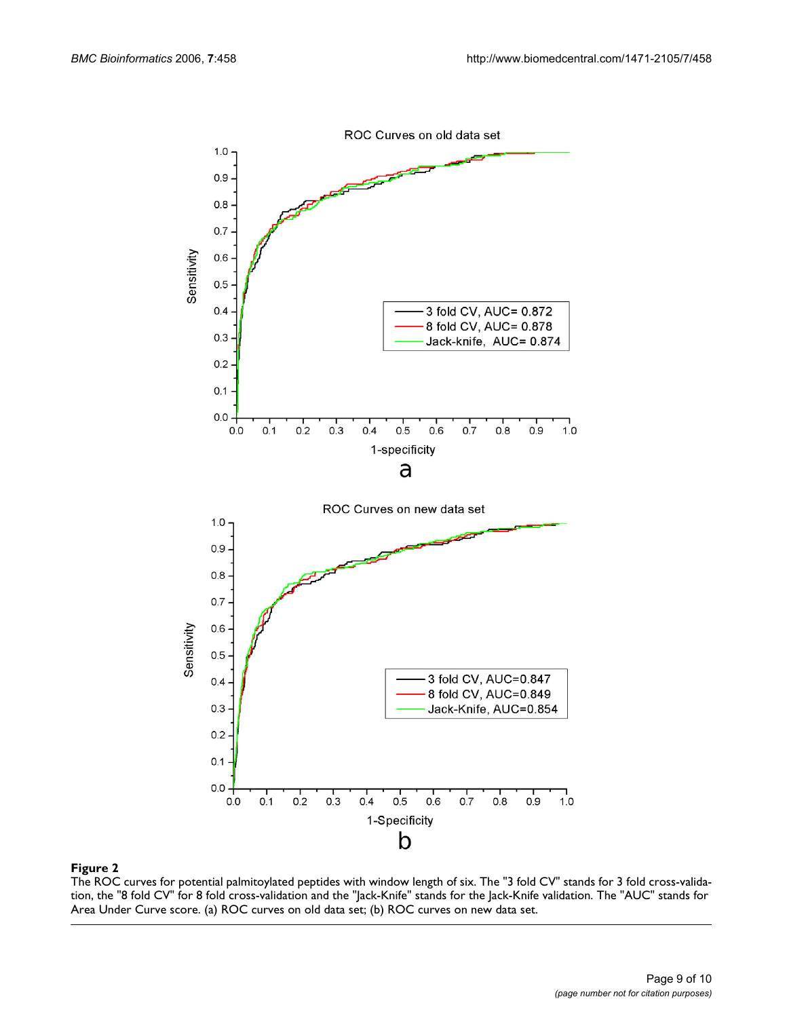

#### Figure 2

The ROC curves for potential palmitoylated peptides with window length of six. The "3 fold CV" stands for 3 fold cross-validation, the "8 fold CV" for 8 fold cross-validation and the "Jack-Knife" stands for the Jack-Knife validation. The "AUC" stands for Area Under Curve score. (a) ROC curves on old data set; (b) ROC curves on new data set.